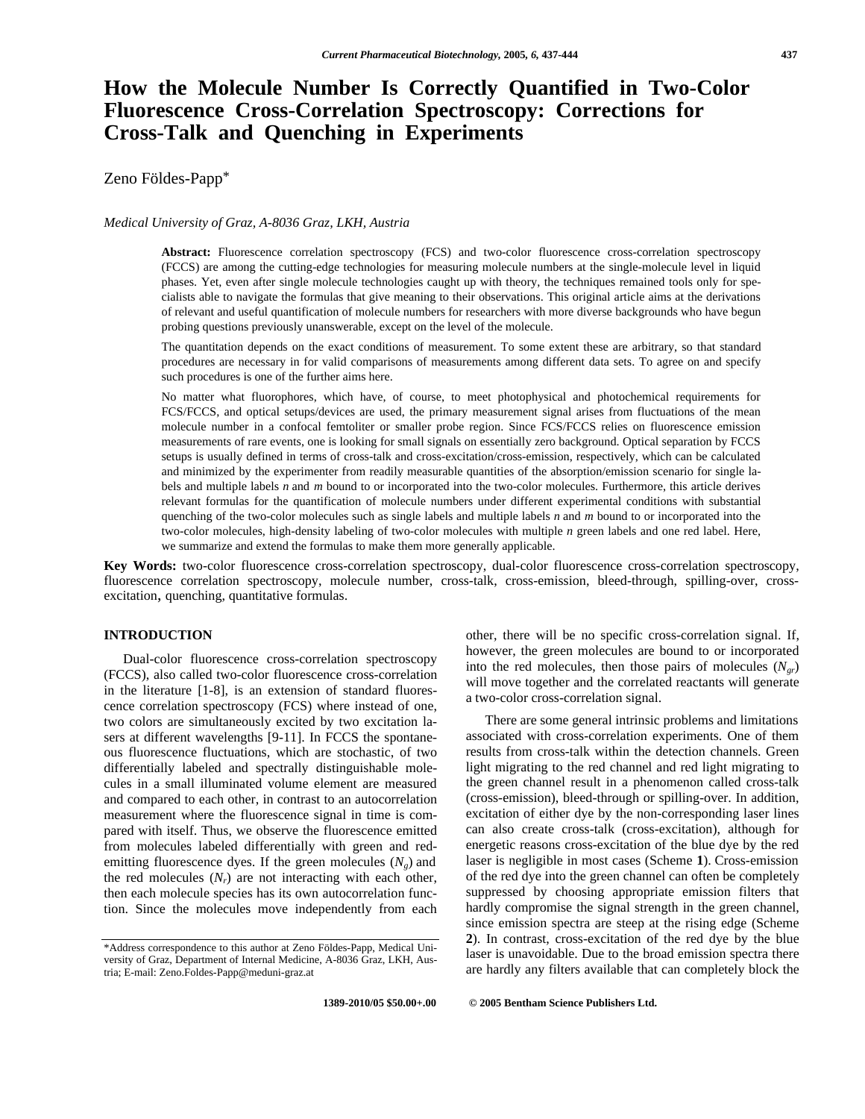## **How the Molecule Number Is Correctly Quantified in Two-Color Fluorescence Cross-Correlation Spectroscopy: Corrections for Cross-Talk and Quenching in Experiments**

Zeno Földes-Papp\*

#### *Medical University of Graz, A-8036 Graz, LKH, Austria*

**Abstract:** Fluorescence correlation spectroscopy (FCS) and two-color fluorescence cross-correlation spectroscopy (FCCS) are among the cutting-edge technologies for measuring molecule numbers at the single-molecule level in liquid phases. Yet, even after single molecule technologies caught up with theory, the techniques remained tools only for specialists able to navigate the formulas that give meaning to their observations. This original article aims at the derivations of relevant and useful quantification of molecule numbers for researchers with more diverse backgrounds who have begun probing questions previously unanswerable, except on the level of the molecule.

The quantitation depends on the exact conditions of measurement. To some extent these are arbitrary, so that standard procedures are necessary in for valid comparisons of measurements among different data sets. To agree on and specify such procedures is one of the further aims here.

No matter what fluorophores, which have, of course, to meet photophysical and photochemical requirements for FCS/FCCS, and optical setups/devices are used, the primary measurement signal arises from fluctuations of the mean molecule number in a confocal femtoliter or smaller probe region. Since FCS/FCCS relies on fluorescence emission measurements of rare events, one is looking for small signals on essentially zero background. Optical separation by FCCS setups is usually defined in terms of cross-talk and cross-excitation/cross-emission, respectively, which can be calculated and minimized by the experimenter from readily measurable quantities of the absorption/emission scenario for single labels and multiple labels *n* and *m* bound to or incorporated into the two-color molecules. Furthermore, this article derives relevant formulas for the quantification of molecule numbers under different experimental conditions with substantial quenching of the two-color molecules such as single labels and multiple labels *n* and *m* bound to or incorporated into the two-color molecules, high-density labeling of two-color molecules with multiple *n* green labels and one red label. Here, we summarize and extend the formulas to make them more generally applicable.

**Key Words:** two-color fluorescence cross-correlation spectroscopy, dual-color fluorescence cross-correlation spectroscopy, fluorescence correlation spectroscopy, molecule number, cross-talk, cross-emission, bleed-through, spilling-over, crossexcitation, quenching, quantitative formulas.

### **INTRODUCTION**

Dual-color fluorescence cross-correlation spectroscopy (FCCS), also called two-color fluorescence cross-correlation in the literature [1-8], is an extension of standard fluorescence correlation spectroscopy (FCS) where instead of one, two colors are simultaneously excited by two excitation lasers at different wavelengths [9-11]. In FCCS the spontaneous fluorescence fluctuations, which are stochastic, of two differentially labeled and spectrally distinguishable molecules in a small illuminated volume element are measured and compared to each other, in contrast to an autocorrelation measurement where the fluorescence signal in time is compared with itself. Thus, we observe the fluorescence emitted from molecules labeled differentially with green and redemitting fluorescence dyes. If the green molecules  $(N_g)$  and the red molecules  $(N_r)$  are not interacting with each other, then each molecule species has its own autocorrelation function. Since the molecules move independently from each

other, there will be no specific cross-correlation signal. If, however, the green molecules are bound to or incorporated into the red molecules, then those pairs of molecules  $(N_{gr})$ will move together and the correlated reactants will generate a two-color cross-correlation signal.

There are some general intrinsic problems and limitations associated with cross-correlation experiments. One of them results from cross-talk within the detection channels. Green light migrating to the red channel and red light migrating to the green channel result in a phenomenon called cross-talk (cross-emission), bleed-through or spilling-over. In addition, excitation of either dye by the non-corresponding laser lines can also create cross-talk (cross-excitation), although for energetic reasons cross-excitation of the blue dye by the red laser is negligible in most cases (Scheme **1**). Cross-emission of the red dye into the green channel can often be completely suppressed by choosing appropriate emission filters that hardly compromise the signal strength in the green channel, since emission spectra are steep at the rising edge (Scheme **2**). In contrast, cross-excitation of the red dye by the blue laser is unavoidable. Due to the broad emission spectra there are hardly any filters available that can completely block the

 **1389-2010/05 \$50.00+.00 © 2005 Bentham Science Publishers Ltd.**

<sup>\*</sup>Address correspondence to this author at Zeno Földes-Papp, Medical University of Graz, Department of Internal Medicine, A-8036 Graz, LKH, Austria; E-mail: Zeno.Foldes-Papp@meduni-graz.at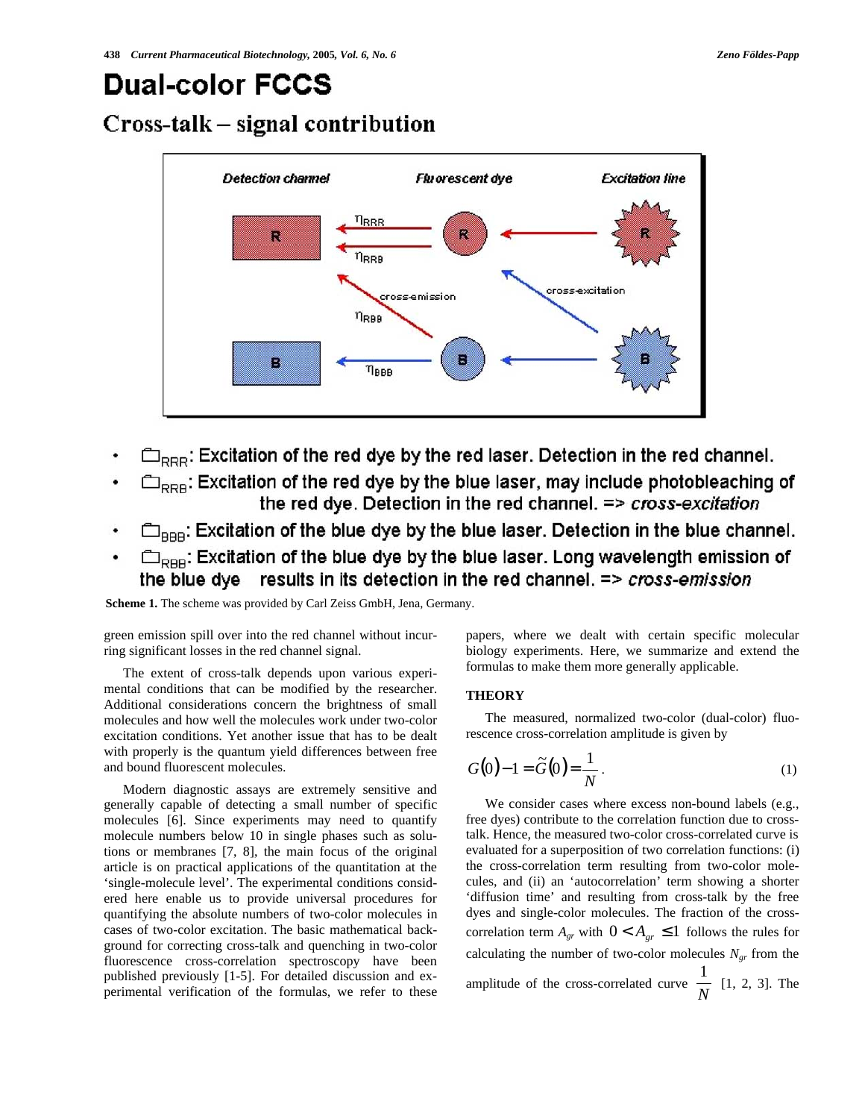# **Dual-color FCCS**

# Cross-talk – signal contribution



- $\Box_{RRR}$ : Excitation of the red dye by the red laser. Detection in the red channel.
- $\Box_{\text{RRB}}$ : Excitation of the red dye by the blue laser, may include photobleaching of the red dye. Detection in the red channel. => cross-excitation
- $\Box_{\text{BBB}}$ : Excitation of the blue dye by the blue laser. Detection in the blue channel.
- Excitation of the blue dye by the blue laser. Long wavelength emission of the blue dye results in its detection in the red channel.  $\Rightarrow cross-emission$

Scheme 1. The scheme was provided by Carl Zeiss GmbH, Jena, Germany.

green emission spill over into the red channel without incurring significant losses in the red channel signal.

The extent of cross-talk depends upon various experimental conditions that can be modified by the researcher. Additional considerations concern the brightness of small molecules and how well the molecules work under two-color excitation conditions. Yet another issue that has to be dealt with properly is the quantum yield differences between free and bound fluorescent molecules.

Modern diagnostic assays are extremely sensitive and generally capable of detecting a small number of specific molecules [6]. Since experiments may need to quantify molecule numbers below 10 in single phases such as solutions or membranes [7, 8], the main focus of the original article is on practical applications of the quantitation at the 'single-molecule level'. The experimental conditions considered here enable us to provide universal procedures for quantifying the absolute numbers of two-color molecules in cases of two-color excitation. The basic mathematical background for correcting cross-talk and quenching in two-color fluorescence cross-correlation spectroscopy have been published previously [1-5]. For detailed discussion and experimental verification of the formulas, we refer to these

papers, where we dealt with certain specific molecular biology experiments. Here, we summarize and extend the formulas to make them more generally applicable.

### **THEORY**

The measured, normalized two-color (dual-color) fluorescence cross-correlation amplitude is given by

$$
G(0)-1=\widetilde{G}(0)=\frac{1}{N}.
$$
 (1)

We consider cases where excess non-bound labels (e.g., free dyes) contribute to the correlation function due to crosstalk. Hence, the measured two-color cross-correlated curve is evaluated for a superposition of two correlation functions: (i) the cross-correlation term resulting from two-color molecules, and (ii) an 'autocorrelation' term showing a shorter 'diffusion time' and resulting from cross-talk by the free dyes and single-color molecules. The fraction of the crosscorrelation term  $A_{gr}$  with  $0 < A_{gr}$  1 follows the rules for calculating the number of two-color molecules  $N_{gr}$  from the amplitude of the cross-correlated curve  $\frac{1}{N}$  [1, 2, 3]. T  $\frac{1}{1}$  [1, 2, 3]. The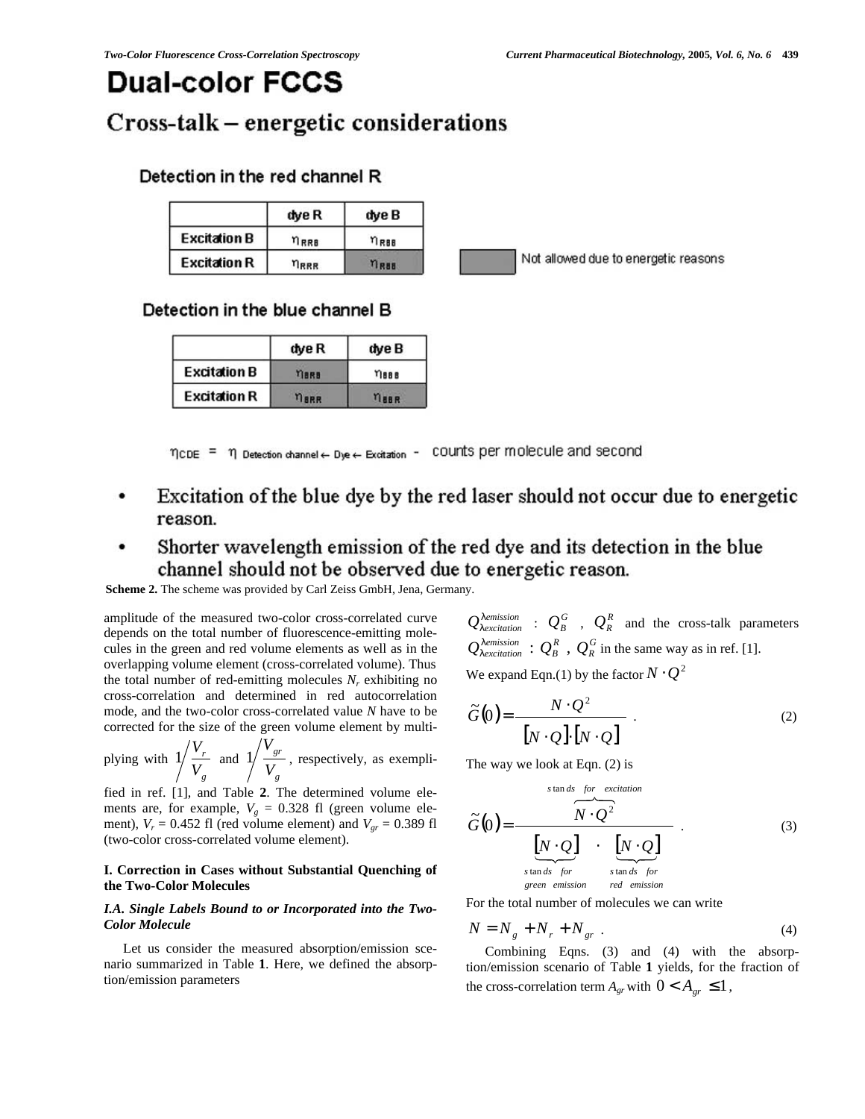Not allowed due to energetic reasons

# **Dual-color FCCS**

# Cross-talk – energetic considerations

## Detection in the red channel R

|                     | dye R       | dye B                   |
|---------------------|-------------|-------------------------|
| <b>Excitation B</b> | n RRB       | <b>n</b> <sub>R88</sub> |
| <b>Excitation R</b> | <b>NRRR</b> | <b>MR88</b>             |

Detection in the blue channel B

|                     | dye R       | dye B       |
|---------------------|-------------|-------------|
| <b>Excitation B</b> | <b>NBRB</b> | <b>YIBB</b> |
| <b>Excitation R</b> | <b>NBRR</b> | <b>MABR</b> |

TICDE = η Detection channel ← Dye ← Excitation - COUNTS per molecule and second

- Excitation of the blue dye by the red laser should not occur due to energetic  $\bullet$ reason.
- Shorter wavelength emission of the red dye and its detection in the blue ٠ channel should not be observed due to energetic reason.

**Scheme 2.** The scheme was provided by Carl Zeiss GmbH, Jena, Germany.

amplitude of the measured two-color cross-correlated curve depends on the total number of fluorescence-emitting molecules in the green and red volume elements as well as in the overlapping volume element (cross-correlated volume). Thus the total number of red-emitting molecules  $N_r$  exhibiting no cross-correlation and determined in red autocorrelation mode, and the two-color cross-correlated value *N* have to be corrected for the size of the green volume element by multi-

plying with *g r*  $V_{o}$   $\sqrt{V}$  $1/\frac{V_r}{I}$  and  $1/\frac{V_r}{I}$ *g gr*  $V_{\circ}$ <sup>'</sup>  $V_{\scriptscriptstyle or}$  $1/\frac{gr}{\sqrt{2}}$ , respectively, as exempli-

fied in ref. [1], and Table **2**. The determined volume elements are, for example,  $V_g = 0.328$  fl (green volume element),  $V_r = 0.452$  fl (red volume element) and  $V_{gr} = 0.389$  fl (two-color cross-correlated volume element).

### **I. Correction in Cases without Substantial Quenching of the Two-Color Molecules**

#### *I.A. Single Labels Bound to or Incorporated into the Two-Color Molecule*

Let us consider the measured absorption/emission scenario summarized in Table **1**. Here, we defined the absorption/emission parameters

 $Q$  *excitation* :  $Q_B^G$  ,  $Q_R^R$  and the cross-talk parameters  $Q$  *excitation* :  $Q_B^R$ ,  $Q_R^G$  in the same way as in ref. [1]. We expand Eqn.(1) by the factor  $N$   $Q^2$ 

 $(0) = \frac{N}{N}$ [*N Q*][*N Q*]  $\tilde{G}(0) = \frac{N(Q^2)}{N(Q^2)}$ .  $\widetilde{G}(0) = \frac{N(Q^2)}{N(Q^2)}$ .  $(2)$ 

The way we look at Eqn. (2) is

( ) [ ] [ ] *red emission s ds for green emission s ds for s ds for excitation N Q N Q N Q G* tan tan tan 2 <sup>0</sup> <sup>~</sup> <sup>=</sup> . (3)

For the total number of molecules we can write

$$
N = N_g + N_r + N_{gr} \tag{4}
$$

Combining Eqns. (3) and (4) with the absorption/emission scenario of Table **1** yields, for the fraction of the cross-correlation term  $A_{gr}$  with  $0 < A_{gr} - 1$ ,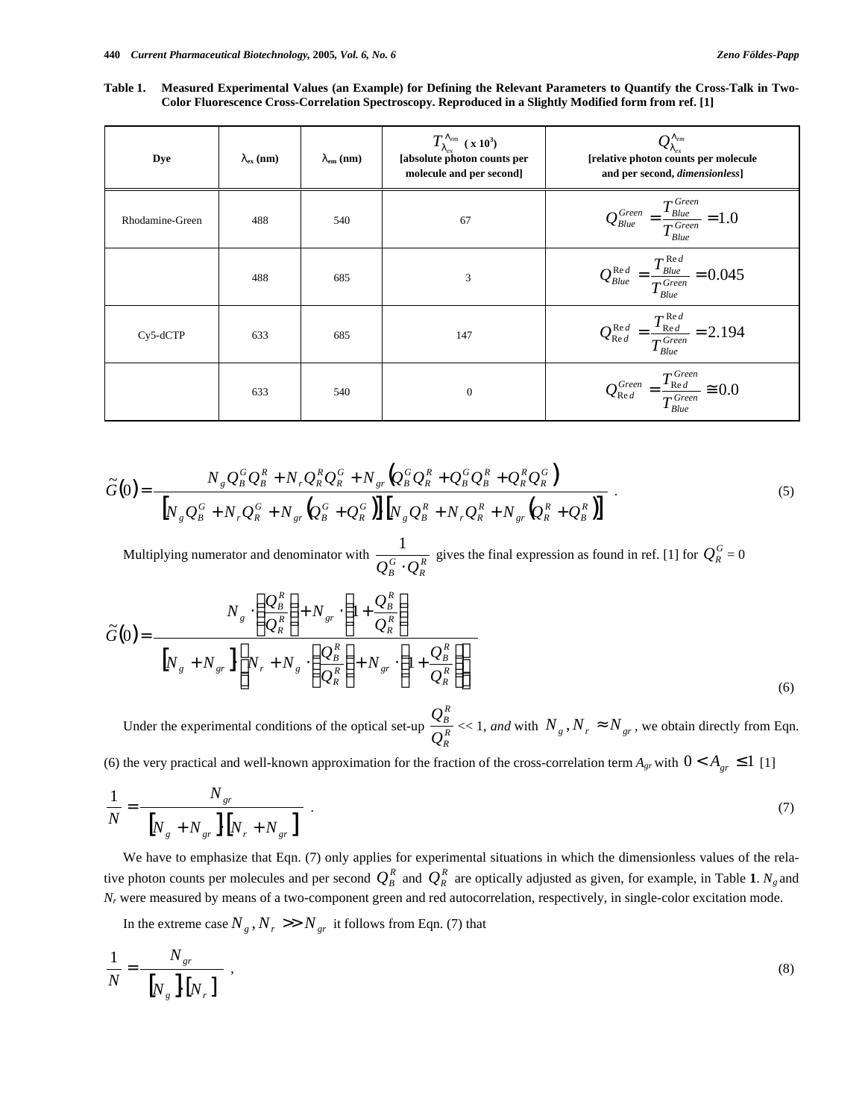**Table 1. Measured Experimental Values (an Example) for Defining the Relevant Parameters to Quantify the Cross-Talk in Two-Color Fluorescence Cross-Correlation Spectroscopy. Reproduced in a Slightly Modified form from ref. [1]**

| Dye             | $_{\rm ex}$ (nm) | $_{\rm em}$ (nm) | $T$ <sup>em</sup> (x 10 <sup>3</sup> )<br>[absolute photon counts per<br>molecule and per second] | $\varrho$<br>em<br>ex<br>[relative photon counts per molecule<br>and per second, <i>dimensionless</i> ]    |
|-----------------|------------------|------------------|---------------------------------------------------------------------------------------------------|------------------------------------------------------------------------------------------------------------|
| Rhodamine-Green | 488              | 540              | 67                                                                                                | $Q_{Blue}^{Green} = \frac{T_{Blue}^{Green}}{T_{Nu}^{Green}} = 1.0$                                         |
|                 | 488              | 685              | 3                                                                                                 | $Q_{Blue}^{\text{Re} d} = \frac{T_{Blue}^{\text{Re} d}}{T_{Blue}^{\text{Green}}} = 0.045$                  |
| $Cy5-dCTP$      | 633              | 685              | 147                                                                                               | $Q_{\text{Re}d}^{\text{Re}d} = \frac{T_{\text{Re}d}^{\text{Re}d}}{T_{\text{Blue}}^{\text{Green}}} = 2.194$ |
|                 | 633              | 540              | $\theta$                                                                                          | $Q_{\text{Re} d}^{Green} = \frac{T_{\text{Re} d}^{Green}}{T_{\text{Blue}}^{Green}}$ 0.0                    |

$$
\tilde{G}(0) = \frac{N_{g}Q_{B}^{G}Q_{B}^{R} + N_{r}Q_{R}^{R}Q_{R}^{G} + N_{gr}\left(Q_{B}^{G}Q_{R}^{R} + Q_{B}^{G}Q_{B}^{R} + Q_{R}^{R}Q_{R}^{G}\right)}{\left[N_{g}Q_{B}^{G} + N_{r}Q_{R}^{G} + N_{gr}\left(Q_{B}^{G} + Q_{R}^{G}\right)\right]\left[N_{g}Q_{B}^{R} + N_{r}Q_{R}^{R} + N_{gr}\left(Q_{R}^{R} + Q_{B}^{R}\right)\right]}.
$$
\n(5)

Multiplying numerator and denominator with  $\overline{Q_B^G Q_R^R}$  gives the fin  $\frac{1}{c^R}$  gives the final expression as found in ref. [1] for  $Q_R^G = 0$ 

$$
\tilde{G}(0) = \frac{N_s}{\left[N_s + N_{sr}\right] N_r + N_s} \frac{Q_R^R}{Q_R^R} + N_{sr} \frac{Q_B^R}{Q_R^R} + N_{sr} \frac{Q_B^R}{Q_R^R}
$$
\n(6)

Under the experimental conditions of the optical set-up  $\frac{z_B}{\Omega^R}$  << 1, *R R B*  $Q_R^R$  and  $\sum_{n=1}^R$  $\frac{Q_B^R}{\Delta R}$  << 1, *and* with  $N_g$ ,  $N_r$  *N<sub>gr</sub>*, we obtain directly from Eqn.

(6) the very practical and well-known approximation for the fraction of the cross-correlation term  $A_{gr}$  with  $0 < A_{gr}$  1 [1]

$$
\frac{1}{N} = \frac{N_{gr}}{[N_{g} + N_{gr}]} \frac{N_{gr}}{[N_{r} + N_{gr}]} \tag{7}
$$

We have to emphasize that Eqn. (7) only applies for experimental situations in which the dimensionless values of the relative photon counts per molecules and per second  $Q^R_B$  and  $Q^R_R$  are optically adjusted as given, for example, in Table 1.  $N_g$  and *Nr* were measured by means of a two-component green and red autocorrelation, respectively, in single-color excitation mode.

In the extreme case  $N_g$ ,  $N_r$  >>  $N_{gr}$  it follows from Eqn. (7) that

$$
\frac{1}{N} = \frac{N_{gr}}{\left[\!\left[N_s\right]\!\right]\left[\!\left[N_r\right]\!\right]} \tag{8}
$$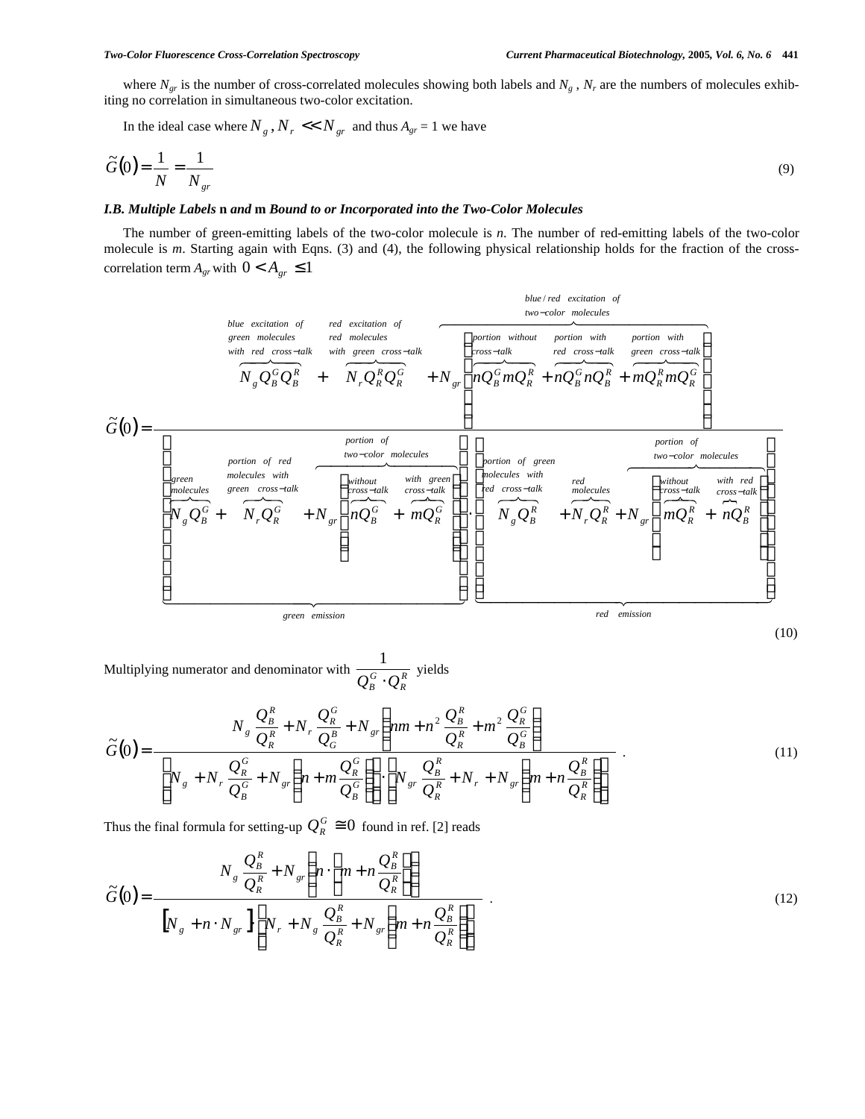where  $N_{gr}$  is the number of cross-correlated molecules showing both labels and  $N_g$ ,  $N_r$  are the numbers of molecules exhibiting no correlation in simultaneous two-color excitation.

In the ideal case where  $N_g$ ,  $N_r$  <<  $N_{gr}$  and thus  $A_{gr} = 1$  we have

$$
\tilde{G}(0) = \frac{1}{N} = \frac{1}{N_{gr}}\tag{9}
$$

#### *I.B. Multiple Labels* **n** *and* **m** *Bound to or Incorporated into the Two-Color Molecules*

The number of green-emitting labels of the two-color molecule is *n*. The number of red-emitting labels of the two-color molecule is *m*. Starting again with Eqns. (3) and (4), the following physical relationship holds for the fraction of the crosscorrelation term  $A_{gr}$  with  $0 < A_{gr}$  1



*green* molecules with red  
molecules with red  

$$
N_gQ_B^G
$$
 +  $N_rQ_R^G$  +  $N_{gr}$   $nQ_B^G$  +  $mQ_R^G$ 

| green emission |  |  |  |
|----------------|--|--|--|
|----------------|--|--|--|

*red emission*

(10)

Multiplying numerator and denominator with  $\overline{Q_B^G \ Q_R^R}$  yields  $\frac{1}{\sqrt{p}}$  yields

$$
\widetilde{G}(0) = \frac{N_{g} \frac{Q_{B}^{R}}{Q_{R}^{R}} + N_{r} \frac{Q_{B}^{G}}{Q_{B}^{R}} + N_{gr} \quad nm + n^{2} \frac{Q_{B}^{R}}{Q_{R}^{R}} + m^{2} \frac{Q_{R}^{G}}{Q_{B}^{G}}
$$
\n
$$
N_{g} + N_{r} \frac{Q_{R}^{G}}{Q_{B}^{G}} + N_{gr} \quad n + m \frac{Q_{R}^{G}}{Q_{B}^{G}} \qquad N_{gr} \frac{Q_{B}^{R}}{Q_{R}^{R}} + N_{r} + N_{gr} \quad m + n \frac{Q_{B}^{R}}{Q_{R}^{R}}
$$
\n
$$
(11)
$$

Thus the final formula for setting-up  $Q_R^G$  $Q_R^G$  0 found in ref. [2] reads

$$
\widetilde{G}(0) = \frac{N_s \frac{Q_B^R}{Q_R^R} + N_{gr} \ n \ m + n \frac{Q_B^R}{Q_R^R}}{[N_s + n \ N_{gr}] \ N_r + N_s \frac{Q_B^R}{Q_R^R} + N_{gr} \ m + n \frac{Q_B^R}{Q_R^R}}.
$$
\n(12)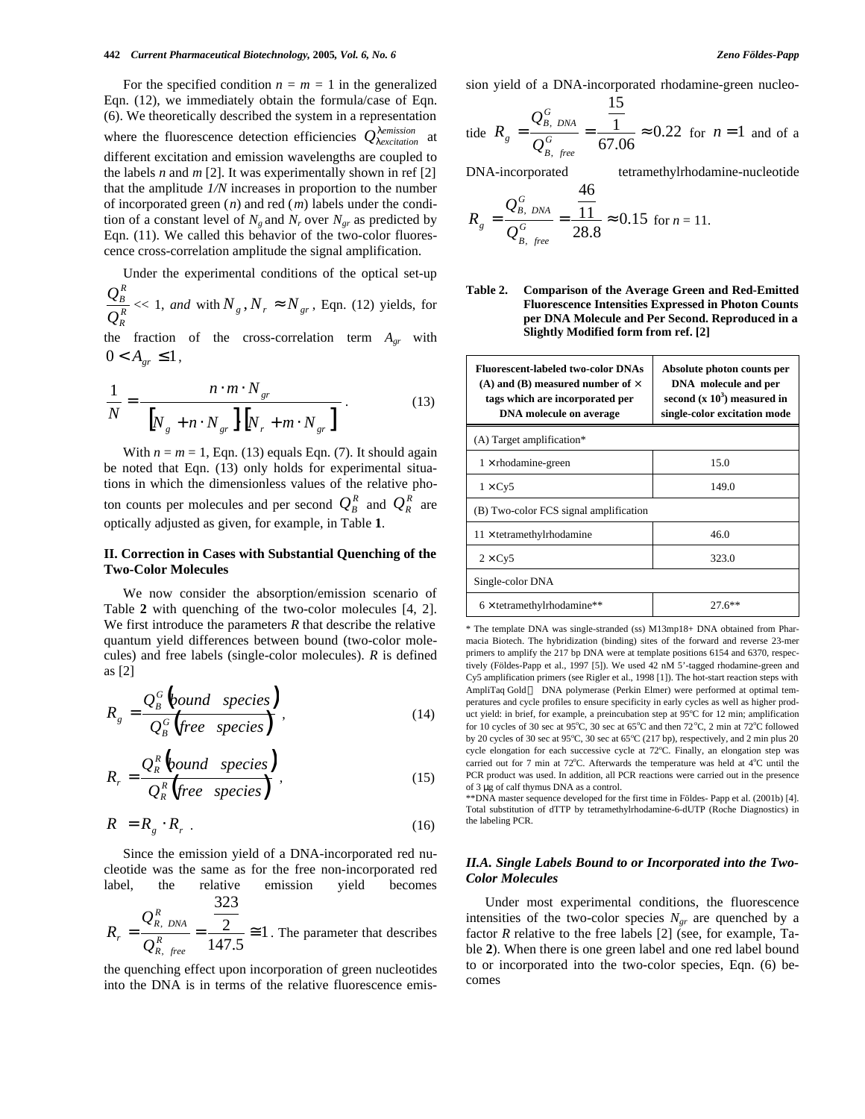#### **442** *Current Pharmaceutical Biotechnology,* **2005***, Vol. 6, No. 6 Zeno Földes-Papp*

For the specified condition  $n = m = 1$  in the generalized Eqn. (12), we immediately obtain the formula/case of Eqn. (6). We theoretically described the system in a representation where the fluorescence detection efficiencies  $\hat{Q}$  *emission* at different excitation and emission wavelengths are coupled to the labels *n* and *m* [2]. It was experimentally shown in ref [2] that the amplitude *1/N* increases in proportion to the number of incorporated green (*n*) and red (*m*) labels under the condition of a constant level of  $N_g$  and  $N_r$  over  $N_{gr}$  as predicted by Eqn. (11). We called this behavior of the two-color fluorescence cross-correlation amplitude the signal amplification.

Under the experimental conditions of the optical set-up *R*<sup>2</sup>, *R B*  $\frac{Q_B^R}{\Delta R}$  << 1, *and* with  $N_g$ ,  $N_r$  *N<sub>gr</sub>*, Eqn. (12) yields, for

*R*  $Q_R^R$  and  $Q_R^R$ the fraction of the cross-correlation term *Agr* with  $0 < A_{gr}$  1,

$$
\frac{1}{N} = \frac{n \ m \ N_{gr}}{\left[ N_g + n \ N_{gr} \right] \left[ N_r + m \ N_{gr} \right]}.
$$
 (13)

With  $n = m = 1$ , Eqn. (13) equals Eqn. (7). It should again be noted that Eqn. (13) only holds for experimental situations in which the dimensionless values of the relative photon counts per molecules and per second  $Q_B^R$  and  $Q_R^R$  are optically adjusted as given, for example, in Table **1**.

#### **II. Correction in Cases with Substantial Quenching of the Two-Color Molecules**

We now consider the absorption/emission scenario of Table **2** with quenching of the two-color molecules [4, 2]. We first introduce the parameters *R* that describe the relative quantum yield differences between bound (two-color molecules) and free labels (single-color molecules). *R* is defined as [2]

$$
R_{g} = \frac{Q_{B}^{G} \text{bound species}}{Q_{B}^{G} \text{free species}} \tag{14}
$$

$$
R_r = \frac{Q_R^R \text{bound species}}{Q_R^R \text{free species}}\right),\tag{15}
$$

$$
R = R_g \quad R_r \tag{16}
$$

Since the emission yield of a DNA-incorporated red nucleotide was the same as for the free non-incorporated red label, the relative emission yield becomes  $323$ 

$$
R_r = \frac{Q_{R, DNA}^R}{Q_{R, free}^R} = \frac{2}{147.5}
$$
 1. The parameter that describes

the quenching effect upon incorporation of green nucleotides into the DNA is in terms of the relative fluorescence emission yield of a DNA-incorporated rhodamine-green nucleo-

15

tide 
$$
R_g = \frac{Q_{B, DNA}^G}{Q_{B, free}^G} = \frac{1}{67.06}
$$
 0.22 for  $n = 1$  and of a

DNA-incorporated tetramethylrhodamine-nucleotide

$$
R_g = \frac{Q_{B,~DNA}^G}{Q_{B,~free}^G} = \frac{\frac{46}{11}}{28.8} \quad 0.15 \text{ for } n = 11.
$$

**Table 2. Comparison of the Average Green and Red-Emitted Fluorescence Intensities Expressed in Photon Counts per DNA Molecule and Per Second. Reproduced in a Slightly Modified form from ref. [2]**

| <b>Fluorescent-labeled two-color DNAs</b><br>(A) and (B) measured number of $\times$<br>tags which are incorporated per<br>DNA molecule on average | Absolute photon counts per<br>DNA molecule and per<br>second $(x 103)$ measured in<br>single-color excitation mode |  |  |  |  |
|----------------------------------------------------------------------------------------------------------------------------------------------------|--------------------------------------------------------------------------------------------------------------------|--|--|--|--|
| (A) Target amplification*                                                                                                                          |                                                                                                                    |  |  |  |  |
| $1 \times$ rhodamine-green                                                                                                                         | 15.0                                                                                                               |  |  |  |  |
| $1 \times Cy5$                                                                                                                                     | 149.0                                                                                                              |  |  |  |  |
| (B) Two-color FCS signal amplification                                                                                                             |                                                                                                                    |  |  |  |  |
| $11 \times$ tetramethylrhodamine                                                                                                                   | 46.0                                                                                                               |  |  |  |  |
| $2 \times Cy5$                                                                                                                                     | 323.0                                                                                                              |  |  |  |  |
| Single-color DNA                                                                                                                                   |                                                                                                                    |  |  |  |  |
| $6 \times$ tetramethylrhodamine**                                                                                                                  | $27.6**$                                                                                                           |  |  |  |  |

\* The template DNA was single-stranded (ss) M13mp18+ DNA obtained from Pharmacia Biotech. The hybridization (binding) sites of the forward and reverse 23-mer primers to amplify the 217 bp DNA were at template positions 6154 and 6370, respectively (Földes-Papp et al., 1997 [5]). We used 42 nM 5'-tagged rhodamine-green and Cy5 amplification primers (see Rigler et al., 1998 [1]). The hot-start reaction steps with AmpliTaq Gold DNA polymerase (Perkin Elmer) were performed at optimal temperatures and cycle profiles to ensure specificity in early cycles as well as higher product yield: in brief, for example, a preincubation step at 95°C for 12 min; amplification for 10 cycles of 30 sec at 95°C, 30 sec at 65°C and then 72°C, 2 min at 72°C followed by 20 cycles of 30 sec at 95°C, 30 sec at 65°C (217 bp), respectively, and 2 min plus 20 cycle elongation for each successive cycle at 72°C. Finally, an elongation step was carried out for 7 min at 72°C. Afterwards the temperature was held at  $4^{\circ}$ C until the PCR product was used. In addition, all PCR reactions were carried out in the presence of 3 μg of calf thymus DNA as a control.

\*\*DNA master sequence developed for the first time in Földes- Papp et al. (2001b) [4]. Total substitution of dTTP by tetramethylrhodamine-6-dUTP (Roche Diagnostics) in the labeling PCR.

#### *II.A. Single Labels Bound to or Incorporated into the Two-Color Molecules*

Under most experimental conditions, the fluorescence intensities of the two-color species  $N_{gr}$  are quenched by a factor *R* relative to the free labels [2] (see, for example, Table **2**). When there is one green label and one red label bound to or incorporated into the two-color species, Eqn. (6) becomes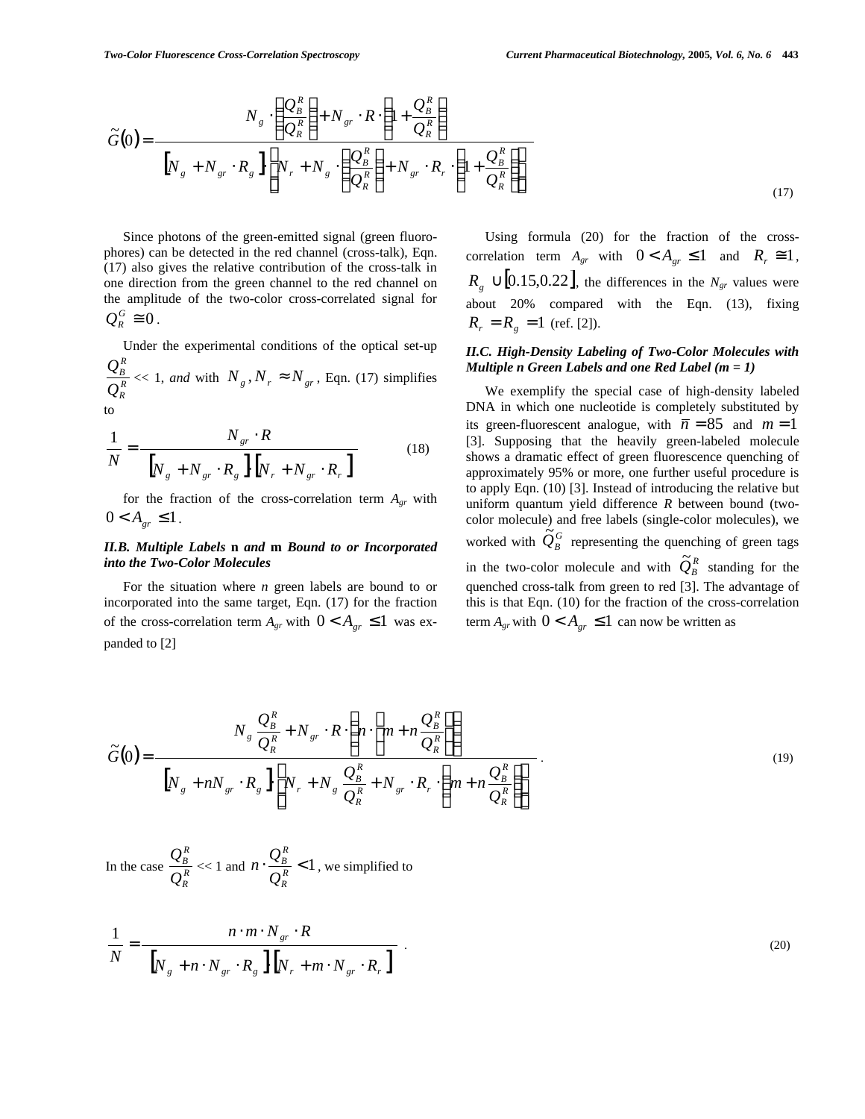(17)

$$
\widetilde{G}(0) = \frac{N_s}{\left[\sum_{g}^{R} + N_{gr} R_1 + \sum_{g}^{R} \frac{Q_B^R}{Q_R^R}\right] N_r + N_s}{\left[\sum_{g}^{R} + N_{gr} R_g\right] N_r + N_s} \frac{Q_B^R}{\left[\sum_{g}^{R} + N_{gr} R_r\right] N_r + N_{gr}} + \frac{Q_B^R}{\left[\sum_{g}^{R} \frac{Q_B^R}{Q_R^R}\right] N_r} \tag{1}
$$

Since photons of the green-emitted signal (green fluorophores) can be detected in the red channel (cross-talk), Eqn. (17) also gives the relative contribution of the cross-talk in one direction from the green channel to the red channel on the amplitude of the two-color cross-correlated signal for  $0$  .  $Q_R^G$ 

Under the experimental conditions of the optical set-up  $R \sim 1$ , *R B*  $\frac{Q_B^R}{\Delta R}$  << 1, *and* with  $N_g$ ,  $N_r$  *N<sub>gr</sub>*, Eqn. (17) simplifies

$$
Q_R^R
$$
 to

$$
\frac{1}{N} = \frac{N_{gr} R}{\left[ N_{g} + N_{gr} R_{g} \right] \left[ N_{r} + N_{gr} R_{r} \right]}
$$
(18)

for the fraction of the cross-correlation term *Agr* with  $0 < A_{er}$  1.

#### *II.B. Multiple Labels* **n** *and* **m** *Bound to or Incorporated into the Two-Color Molecules*

For the situation where *n* green labels are bound to or incorporated into the same target, Eqn. (17) for the fraction of the cross-correlation term  $A_{gr}$  with  $0 < A_{gr}$  1 was expanded to [2]

Using formula (20) for the fraction of the crosscorrelation term  $A_{gr}$  with  $0 < A_{gr}$  1 and  $R_r$  1,  $R_g$  [0.15,0.22], the differences in the  $N_{gr}$  values were about 20% compared with the Eqn. (13), fixing  $R_r = R_g = 1$  (ref. [2]).

### *II.C. High-Density Labeling of Two-Color Molecules with Multiple n Green Labels and one Red Label (m = 1)*

We exemplify the special case of high-density labeled DNA in which one nucleotide is completely substituted by its green-fluorescent analogue, with  $\overline{n} = 85$  and  $m = 1$ [3]. Supposing that the heavily green-labeled molecule shows a dramatic effect of green fluorescence quenching of approximately 95% or more, one further useful procedure is to apply Eqn. (10) [3]. Instead of introducing the relative but uniform quantum yield difference *R* between bound (twocolor molecule) and free labels (single-color molecules), we worked with  $\tilde{Q}_{B}^{G}$  representing the quenching of green tags in the two-color molecule and with  $\widetilde{Q}_B^R$  standing for the quenched cross-talk from green to red [3]. The advantage of this is that Eqn. (10) for the fraction of the cross-correlation term  $A_{gr}$  with  $0 < A_{gr}$  1 can now be written as

$$
\widetilde{G}(0) = \frac{N_s \frac{Q_B^R}{Q_R^R} + N_{gr} R n m + n \frac{Q_B^R}{Q_R^R}}{[N_s + nN_{gr} R_s] N_r + N_s \frac{Q_B^R}{Q_R^R} + N_{gr} R_r m + n \frac{Q_B^R}{Q_R^R}}.
$$
\n(19)

In the case  $\frac{Z_B}{\Omega_R}$  << 1 a *R R B*  $Q_{\scriptscriptstyle R}^{\scriptscriptstyle R}$   $\cdots$   $\cdots$  $\frac{Q_B^R}{Q_R^R}$  << 1 and *n*  $\frac{Q_B^R}{Q_R^R}$  < 1, we simply *R R B*<sub>*z*</sub> 1 *m*  $Q_{\scriptscriptstyle R}^{\scriptscriptstyle R}$  , ...  $n \frac{Q_B^R}{a^2}$  < 1, we simplified to

$$
\frac{1}{N} = \frac{n \ m \ N_{gr} R}{\left[ N_g + n \ N_{gr} R_g \right] \left[ N_r + m \ N_{gr} R_r \right]} \ .
$$
\n(20)